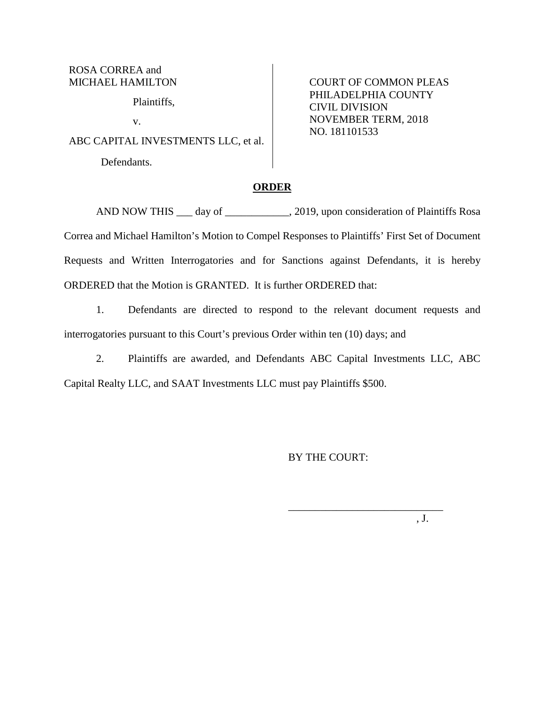ROSA CORREA and MICHAEL HAMILTON

Plaintiffs,

v.

ABC CAPITAL INVESTMENTS LLC, et al.

Defendants.

COURT OF COMMON PLEAS PHILADELPHIA COUNTY CIVIL DIVISION NOVEMBER TERM, 2018 NO. 181101533

### **ORDER**

AND NOW THIS \_\_\_ day of \_\_\_\_\_\_\_\_\_\_, 2019, upon consideration of Plaintiffs Rosa Correa and Michael Hamilton's Motion to Compel Responses to Plaintiffs' First Set of Document Requests and Written Interrogatories and for Sanctions against Defendants, it is hereby ORDERED that the Motion is GRANTED. It is further ORDERED that:

1. Defendants are directed to respond to the relevant document requests and interrogatories pursuant to this Court's previous Order within ten (10) days; and

2. Plaintiffs are awarded, and Defendants ABC Capital Investments LLC, ABC Capital Realty LLC, and SAAT Investments LLC must pay Plaintiffs \$500.

BY THE COURT:

\_\_\_\_\_\_\_\_\_\_\_\_\_\_\_\_\_\_\_\_\_\_\_\_\_\_\_\_\_

, J.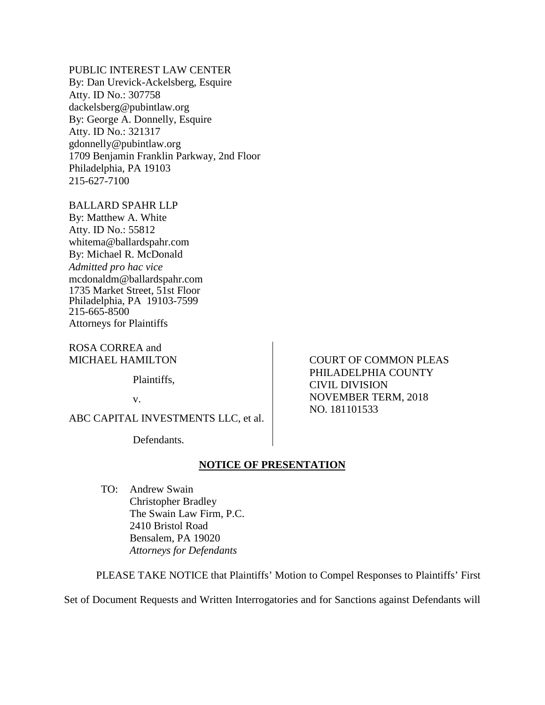PUBLIC INTEREST LAW CENTER

By: Dan Urevick-Ackelsberg, Esquire Atty. ID No.: 307758 dackelsberg@pubintlaw.org By: George A. Donnelly, Esquire Atty. ID No.: 321317 gdonnelly@pubintlaw.org 1709 Benjamin Franklin Parkway, 2nd Floor Philadelphia, PA 19103 215-627-7100

BALLARD SPAHR LLP By: Matthew A. White Atty. ID No.: 55812 whitema@ballardspahr.com By: Michael R. McDonald

*Admitted pro hac vice* mcdonaldm@ballardspahr.com 1735 Market Street, 51st Floor Philadelphia, PA 19103-7599 215-665-8500 Attorneys for Plaintiffs

ROSA CORREA and MICHAEL HAMILTON

Plaintiffs,

v.

ABC CAPITAL INVESTMENTS LLC, et al.

Defendants.

# **NOTICE OF PRESENTATION**

TO: Andrew Swain Christopher Bradley The Swain Law Firm, P.C. 2410 Bristol Road Bensalem, PA 19020 *Attorneys for Defendants*

PLEASE TAKE NOTICE that Plaintiffs' Motion to Compel Responses to Plaintiffs' First

Set of Document Requests and Written Interrogatories and for Sanctions against Defendants will

COURT OF COMMON PLEAS PHILADELPHIA COUNTY CIVIL DIVISION NOVEMBER TERM, 2018 NO. 181101533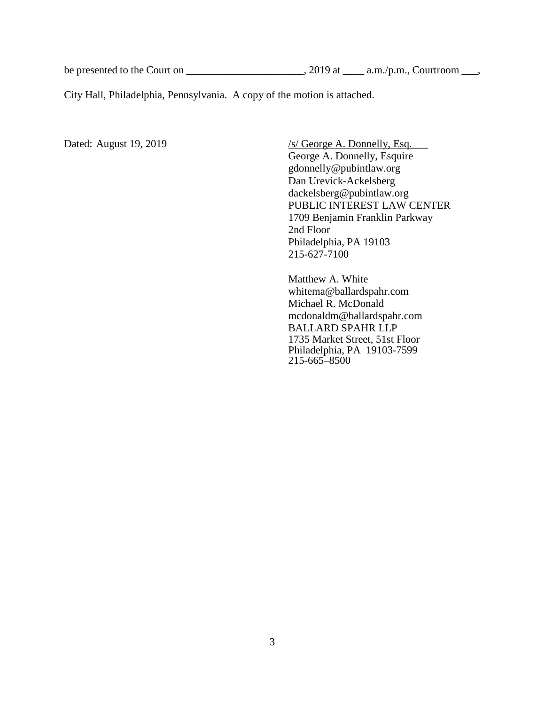be presented to the Court on \_\_\_\_\_\_\_\_\_\_\_\_\_\_\_\_\_\_\_\_\_\_, 2019 at \_\_\_\_\_\_\_\_\_\_\_\_\_\_\_, Courtroom \_\_\_,

City Hall, Philadelphia, Pennsylvania. A copy of the motion is attached.

Dated: August 19, 2019 /s/ George A. Donnelly, Esq. George A. Donnelly, Esquire gdonnelly@pubintlaw.org Dan Urevick-Ackelsberg dackelsberg@pubintlaw.org PUBLIC INTEREST LAW CENTER 1709 Benjamin Franklin Parkway 2nd Floor Philadelphia, PA 19103 215-627-7100

> Matthew A. White whitema@ballardspahr.com Michael R. McDonald mcdonaldm@ballardspahr.com BALLARD SPAHR LLP 1735 Market Street, 51st Floor Philadelphia, PA 19103-7599 215-665–8500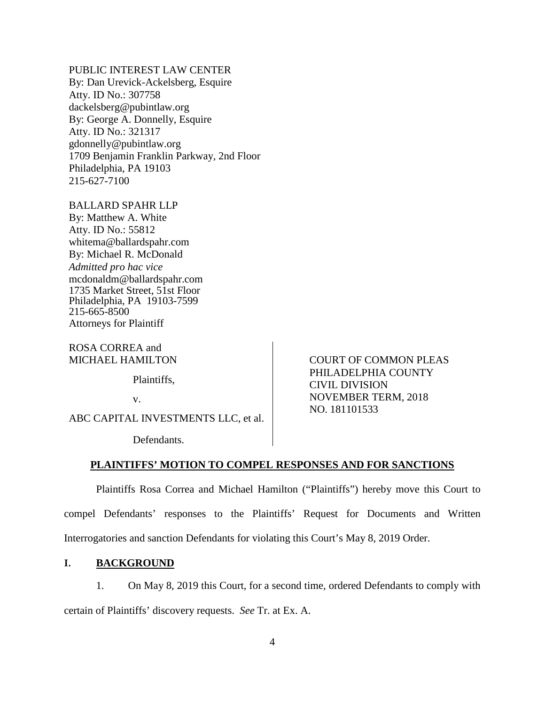PUBLIC INTEREST LAW CENTER

By: Dan Urevick-Ackelsberg, Esquire Atty. ID No.: 307758 dackelsberg@pubintlaw.org By: George A. Donnelly, Esquire Atty. ID No.: 321317 gdonnelly@pubintlaw.org 1709 Benjamin Franklin Parkway, 2nd Floor Philadelphia, PA 19103 215-627-7100

BALLARD SPAHR LLP By: Matthew A. White Atty. ID No.: 55812 whitema@ballardspahr.com By: Michael R. McDonald *Admitted pro hac vice* mcdonaldm@ballardspahr.com 1735 Market Street, 51st Floor Philadelphia, PA 19103-7599 215-665-8500 Attorneys for Plaintiff

ROSA CORREA and MICHAEL HAMILTON

Plaintiffs,

v.

ABC CAPITAL INVESTMENTS LLC, et al.

Defendants.

COURT OF COMMON PLEAS PHILADELPHIA COUNTY CIVIL DIVISION NOVEMBER TERM, 2018 NO. 181101533

### **PLAINTIFFS' MOTION TO COMPEL RESPONSES AND FOR SANCTIONS**

Plaintiffs Rosa Correa and Michael Hamilton ("Plaintiffs") hereby move this Court to compel Defendants' responses to the Plaintiffs' Request for Documents and Written Interrogatories and sanction Defendants for violating this Court's May 8, 2019 Order.

# **I. BACKGROUND**

1. On May 8, 2019 this Court, for a second time, ordered Defendants to comply with certain of Plaintiffs' discovery requests. *See* Tr. at Ex. A.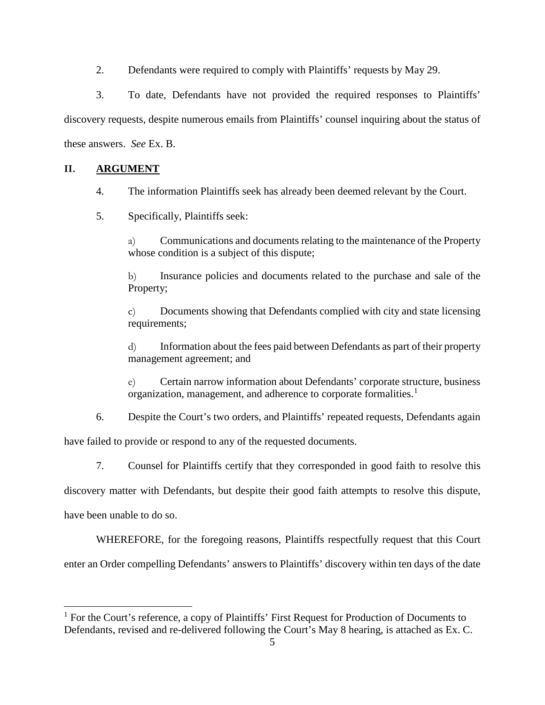2. Defendants were required to comply with Plaintiffs' requests by May 29.

3. To date, Defendants have not provided the required responses to Plaintiffs' discovery requests, despite numerous emails from Plaintiffs' counsel inquiring about the status of these answers. *See* Ex. B.

## **II. ARGUMENT**

- 4. The information Plaintiffs seek has already been deemed relevant by the Court.
- 5. Specifically, Plaintiffs seek:

a) Communications and documents relating to the maintenance of the Property whose condition is a subject of this dispute;

b) Insurance policies and documents related to the purchase and sale of the Property;

c) Documents showing that Defendants complied with city and state licensing requirements;

d) Information about the fees paid between Defendants as part of their property management agreement; and

e) Certain narrow information about Defendants' corporate structure, business organization, management, and adherence to corporate formalities.<sup>[1](#page-4-0)</sup>

6. Despite the Court's two orders, and Plaintiffs' repeated requests, Defendants again

have failed to provide or respond to any of the requested documents.

7. Counsel for Plaintiffs certify that they corresponded in good faith to resolve this

discovery matter with Defendants, but despite their good faith attempts to resolve this dispute,

have been unable to do so.

WHEREFORE, for the foregoing reasons, Plaintiffs respectfully request that this Court

enter an Order compelling Defendants' answers to Plaintiffs' discovery within ten days of the date

<span id="page-4-0"></span> $<sup>1</sup>$  For the Court's reference, a copy of Plaintiffs' First Request for Production of Documents to</sup> Defendants, revised and re-delivered following the Court's May 8 hearing, is attached as Ex. C.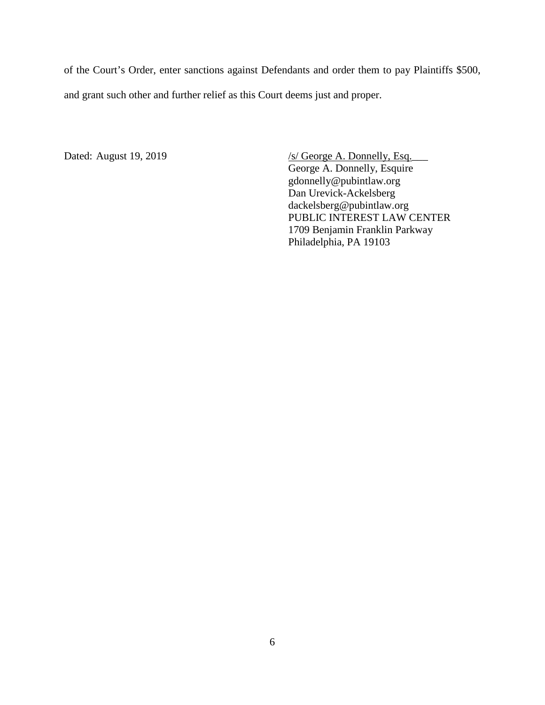of the Court's Order, enter sanctions against Defendants and order them to pay Plaintiffs \$500, and grant such other and further relief as this Court deems just and proper.

Dated: August 19, 2019 /s/ George A. Donnelly, Esq. George A. Donnelly, Esquire gdonnelly@pubintlaw.org Dan Urevick-Ackelsberg dackelsberg@pubintlaw.org PUBLIC INTEREST LAW CENTER 1709 Benjamin Franklin Parkway Philadelphia, PA 19103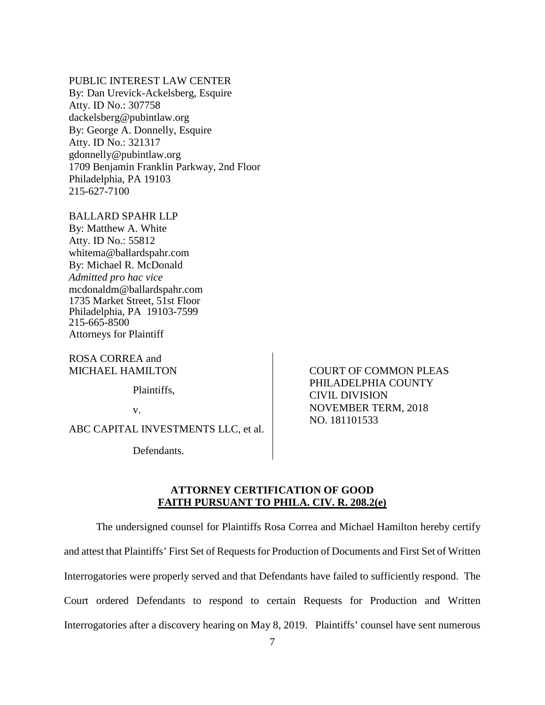PUBLIC INTEREST LAW CENTER By: Dan Urevick-Ackelsberg, Esquire Atty. ID No.: 307758 dackelsberg@pubintlaw.org By: George A. Donnelly, Esquire Atty. ID No.: 321317 gdonnelly@pubintlaw.org 1709 Benjamin Franklin Parkway, 2nd Floor Philadelphia, PA 19103 215-627-7100

BALLARD SPAHR LLP By: Matthew A. White Atty. ID No.: 55812 whitema@ballardspahr.com By: Michael R. McDonald *Admitted pro hac vice* mcdonaldm@ballardspahr.com 1735 Market Street, 51st Floor Philadelphia, PA 19103-7599 215-665-8500 Attorneys for Plaintiff

ROSA CORREA and MICHAEL HAMILTON

Plaintiffs,

v.

ABC CAPITAL INVESTMENTS LLC, et al.

Defendants.

COURT OF COMMON PLEAS PHILADELPHIA COUNTY CIVIL DIVISION NOVEMBER TERM, 2018 NO. 181101533

## **ATTORNEY CERTIFICATION OF GOOD FAITH PURSUANT TO PHILA. CIV. R. 208.2(e)**

The undersigned counsel for Plaintiffs Rosa Correa and Michael Hamilton hereby certify and attest that Plaintiffs' First Set of Requests for Production of Documents and First Set of Written Interrogatories were properly served and that Defendants have failed to sufficiently respond. The Court ordered Defendants to respond to certain Requests for Production and Written Interrogatories after a discovery hearing on May 8, 2019. Plaintiffs' counsel have sent numerous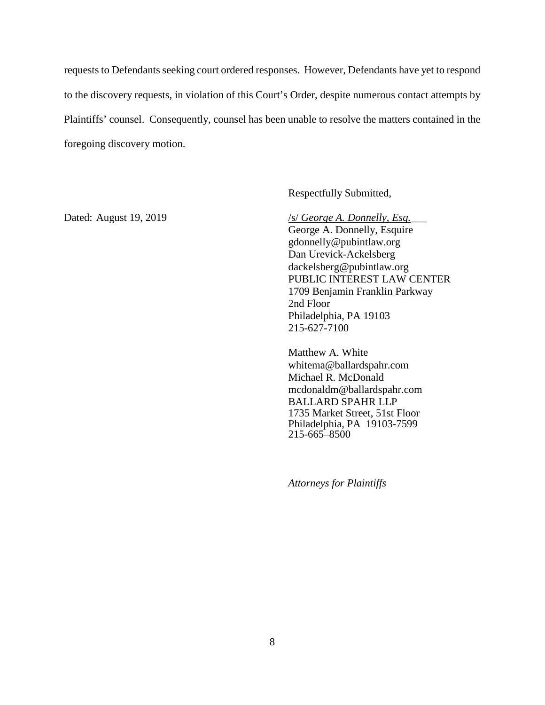requests to Defendants seeking court ordered responses. However, Defendants have yet to respond to the discovery requests, in violation of this Court's Order, despite numerous contact attempts by Plaintiffs' counsel. Consequently, counsel has been unable to resolve the matters contained in the foregoing discovery motion.

Respectfully Submitted,

Dated: August 19, 2019 /s/ *George A. Donnelly, Esq.* 

George A. Donnelly, Esquire gdonnelly@pubintlaw.org Dan Urevick-Ackelsberg dackelsberg@pubintlaw.org PUBLIC INTEREST LAW CENTER 1709 Benjamin Franklin Parkway 2nd Floor Philadelphia, PA 19103 215-627-7100

Matthew A. White whitema@ballardspahr.com Michael R. McDonald mcdonaldm@ballardspahr.com BALLARD SPAHR LLP 1735 Market Street, 51st Floor Philadelphia, PA 19103-7599 215-665–8500

*Attorneys for Plaintiffs*